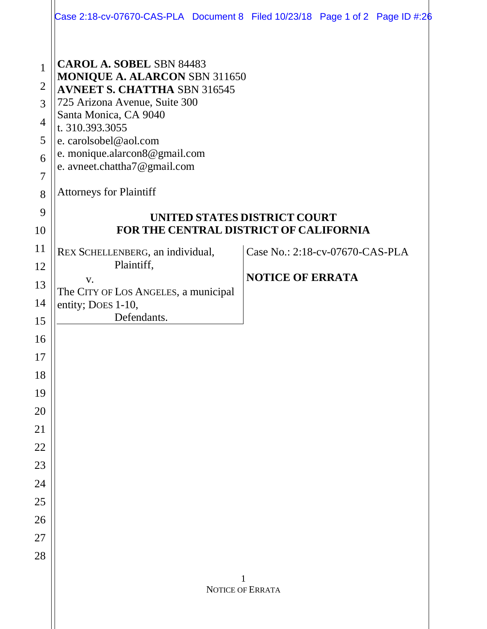|                                                                                                   |                                                                                                                                                                                                                                                                                                                  | Case 2:18-cv-07670-CAS-PLA Document 8 Filed $10/23/18$ Page 1 of 2 Page ID #:26 |  |
|---------------------------------------------------------------------------------------------------|------------------------------------------------------------------------------------------------------------------------------------------------------------------------------------------------------------------------------------------------------------------------------------------------------------------|---------------------------------------------------------------------------------|--|
| $\mathbf{1}$<br>$\overline{2}$<br>3<br>$\overline{4}$<br>5<br>6<br>$\overline{7}$<br>8<br>9<br>10 | <b>CAROL A. SOBEL SBN 84483</b><br>MONIQUE A. ALARCON SBN 311650<br><b>AVNEET S. CHATTHA SBN 316545</b><br>725 Arizona Avenue, Suite 300<br>Santa Monica, CA 9040<br>t. 310.393.3055<br>e. carolsobel@aol.com<br>e. monique.alarcon8@gmail.com<br>e. avneet.chattha7@gmail.com<br><b>Attorneys for Plaintiff</b> | UNITED STATES DISTRICT COURT<br>FOR THE CENTRAL DISTRICT OF CALIFORNIA          |  |
| 11                                                                                                |                                                                                                                                                                                                                                                                                                                  |                                                                                 |  |
| 12                                                                                                | REX SCHELLENBERG, an individual,<br>Plaintiff,                                                                                                                                                                                                                                                                   | Case No.: 2:18-cv-07670-CAS-PLA                                                 |  |
| 13                                                                                                | V.                                                                                                                                                                                                                                                                                                               | <b>NOTICE OF ERRATA</b>                                                         |  |
| 14                                                                                                | The CITY OF LOS ANGELES, a municipal<br>entity; Does 1-10,                                                                                                                                                                                                                                                       |                                                                                 |  |
| 15                                                                                                | Defendants.                                                                                                                                                                                                                                                                                                      |                                                                                 |  |
| 16                                                                                                |                                                                                                                                                                                                                                                                                                                  |                                                                                 |  |
| 17                                                                                                |                                                                                                                                                                                                                                                                                                                  |                                                                                 |  |
| 18                                                                                                |                                                                                                                                                                                                                                                                                                                  |                                                                                 |  |
| 19                                                                                                |                                                                                                                                                                                                                                                                                                                  |                                                                                 |  |
| 20                                                                                                |                                                                                                                                                                                                                                                                                                                  |                                                                                 |  |
| 21                                                                                                |                                                                                                                                                                                                                                                                                                                  |                                                                                 |  |
| 22                                                                                                |                                                                                                                                                                                                                                                                                                                  |                                                                                 |  |
| 23                                                                                                |                                                                                                                                                                                                                                                                                                                  |                                                                                 |  |
| 24                                                                                                |                                                                                                                                                                                                                                                                                                                  |                                                                                 |  |
| 25                                                                                                |                                                                                                                                                                                                                                                                                                                  |                                                                                 |  |
| 26                                                                                                |                                                                                                                                                                                                                                                                                                                  |                                                                                 |  |
| 27                                                                                                |                                                                                                                                                                                                                                                                                                                  |                                                                                 |  |
| 28                                                                                                |                                                                                                                                                                                                                                                                                                                  |                                                                                 |  |
|                                                                                                   | NOTICE OF ERRATA                                                                                                                                                                                                                                                                                                 |                                                                                 |  |